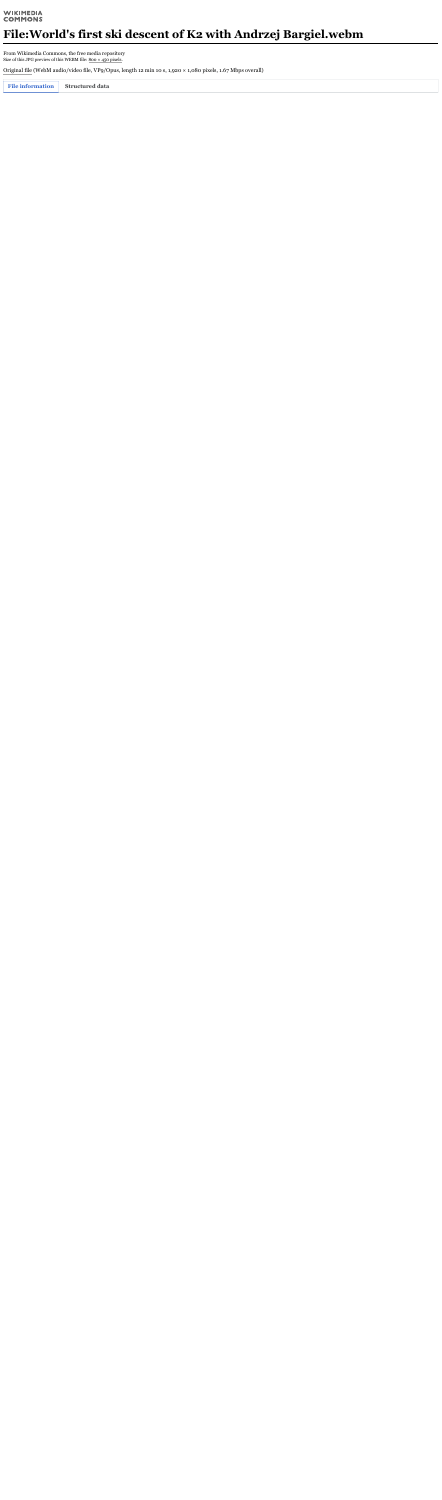#### **WIKIMEDIA COMMONS**

# **File:World's first ski descent of K2 with Andrzej Bargiel.webm**

From Wikimedia Commons, the free media repository Size of this JPG preview of this WEBM file: 800 × 450 [pixels.](https://upload.wikimedia.org/wikipedia/commons/thumb/2/2f/World%27s_first_ski_descent_of_K2_with_Andrzej_Bargiel.webm/800px--World%27s_first_ski_descent_of_K2_with_Andrzej_Bargiel.webm.jpg)

[Original](https://upload.wikimedia.org/wikipedia/commons/2/2f/World%27s_first_ski_descent_of_K2_with_Andrzej_Bargiel.webm) file (WebM audio/video file, VP9/Opus, length 12 min 10 s, 1,920 × 1,080 pixels, 1.67 Mbps overall)

**File information Structured data**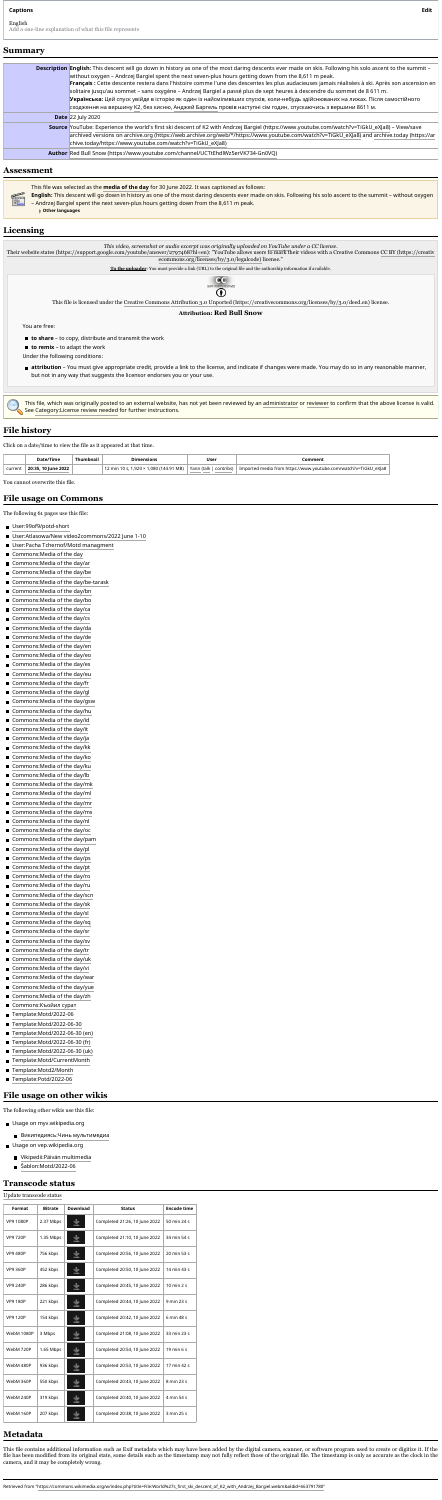Retrieved from ["https://commons.wikimedia.org/w/index.php?title=File:World%27s\\_first\\_ski\\_descent\\_of\\_K2\\_with\\_Andrzej\\_Bargiel.webm&oldid=663791780"](https://commons.wikimedia.org/w/index.php?title=File:World%27s_first_ski_descent_of_K2_with_Andrzej_Bargiel.webm&oldid=663791780)

| <b>Description English:</b> This descent will go down in history as one of the most daring descents ever made on skis. Following his solo ascent to the summit -<br>without oxygen - Andrzej Bargiel spent the next seven-plus hours getting down from the 8,611 m peak. |  |  |  |  |  |  |
|--------------------------------------------------------------------------------------------------------------------------------------------------------------------------------------------------------------------------------------------------------------------------|--|--|--|--|--|--|
| Français : Cette descente restera dans l'histoire comme l'une des descentes les plus audacieuses jamais réalisées à ski. Après son ascension en                                                                                                                          |  |  |  |  |  |  |
| solitaire jusqu'au sommet – sans oxygène – Andrzej Bargiel a passé plus de sept heures à descendre du sommet de 8 611 m.                                                                                                                                                 |  |  |  |  |  |  |
| Українська: Цей спуск увійде в історію як один із найсміливіших спусків, коли-небудь здійснюваних на лижах. Після самостійного                                                                                                                                           |  |  |  |  |  |  |
| сходження на вершину К2, без кисню, Анджей Баргель провів наступні сім годин, спускаючись з вершини 8611 м.                                                                                                                                                              |  |  |  |  |  |  |
| <b>Date</b> $22$ July 2020                                                                                                                                                                                                                                               |  |  |  |  |  |  |
| Source YouTube: Experience the world's first ski descent of K2 with Andrzej Bargiel (https://www.youtube.com/watch?v=TiGkU_eXJa8) - View/save                                                                                                                            |  |  |  |  |  |  |
| archived versions on archive.org (https://web.archive.org/web/*/https://www.youtube.com/watch?v=TiGkU_eXJa8) and archive.today (https://ar                                                                                                                               |  |  |  |  |  |  |
| chive.today/https://www.youtube.com/watch?v=TiGkU_eXJa8)                                                                                                                                                                                                                 |  |  |  |  |  |  |
| Author Red Bull Snow (https://www.youtube.com/channel/UCTtEhdlWz5erVK734-Gn0VQ)                                                                                                                                                                                          |  |  |  |  |  |  |

- **to share** to copy, distribute and transmit the work
- **to remix** to adapt the work

This file was selected as the **[media](https://commons.wikimedia.org/wiki/Commons:Media_of_the_day) of the day** for 30 June 2022. It was captioned as follows:

- **English:** This descent will go down in history as one of the most daring descents ever made on skis. Following his solo ascent to the summit without oxygen
- Andrzej Bargiel spent the next seven-plus hours getting down from the 8,611 m peak.
	- **Other languages**

*This video, screenshot or audio excerpt was originally uploaded on [YouTube](https://en.wikipedia.org/wiki/YouTube) under a CC license.* Their website states [\(https://support.google.com/youtube/answer/2797468?hl=en\):](https://support.google.com/youtube/answer/2797468?hl=en) "YouTube allows users to mark their videos with a Creative Commons CC BY (https://creativ [ecommons.org/licenses/by/3.0/legalcode\)](https://creativecommons.org/licenses/by/3.0/legalcode) license." **To the uploader**: You must provide a link (URL) to the original file and the authorship information if available. O(O SOME RIGHTS RESERVED Œ, This file is licensed under the Creative [Commons](https://en.wikipedia.org/wiki/en:Creative_Commons) Attribution 3.0 Unported [\(https://creativecommons.org/licenses/by/3.0/deed.en\)](https://creativecommons.org/licenses/by/3.0/deed.en) license. **Attribution: Red Bull Snow** You are free:

Under the following conditions:

**attribution** – You must give appropriate credit, provide a link to the license, and indicate if changes were made. You may do so in any reasonable manner,

- [Википедиясь:Чинь](https://myv.wikipedia.org/wiki/%D0%92%D0%B8%D0%BA%D0%B8%D0%BF%D0%B5%D0%B4%D0%B8%D1%8F%D1%81%D1%8C:%D0%A7%D0%B8%D0%BD%D1%8C_%D0%BC%D1%83%D0%BB%D1%8C%D1%82%D0%B8%D0%BC%D0%B5%D0%B4%D0%B8%D0%B0) мультимедиа
- Usage on vep.wikipedia.org
	- [Vikipedii:Päivän](https://vep.wikipedia.org/wiki/Vikipedii:P%C3%A4iv%C3%A4n_multimedia) multimedia
	- [Šablon:Motd/2022-06](https://vep.wikipedia.org/wiki/%C5%A0ablon:Motd/2022-06)  $\blacksquare$

but not in any way that suggests the licensor endorses you or your use.

This file, which was originally posted to an external website, has not yet been reviewed by an [administrator](https://commons.wikimedia.org/wiki/Commons:A) or [reviewer](https://commons.wikimedia.org/wiki/Commons:License_review#Reviewers) to confirm that the above license is valid. See [Category:License](https://commons.wikimedia.org/wiki/Category:License_review_needed) review needed for further instructions.

Click on a date/time to view the file as it appeared at that time.

|         | Date/Time                | <b>)ımensıons</b>                                              | <b>User</b>             | .omment                                                         |
|---------|--------------------------|----------------------------------------------------------------|-------------------------|-----------------------------------------------------------------|
| current | . 10 June 2022<br>20:35, | ,080 (144.91 MB)<br>., 1,920 $^{\sim}$ $^{\sim}$<br>$\sqrt{m}$ | Yann (talk<br>contribs) | , eXJa8<br>www.youtube.com/watch?v=TiGkU<br>Imported media from |

You cannot overwrite this file.

The following 61 pages use this file:

- [User:99of9/potd-short](https://commons.wikimedia.org/wiki/User:99of9/potd-short)
- User:Atlasowa/New [video2commons/2022](https://commons.wikimedia.org/wiki/User:Atlasowa/New_video2commons/2022_June_1-10) June 1-10
- User:Pacha [Tchernof/Motd](https://commons.wikimedia.org/wiki/User:Pacha_Tchernof/Motd_managment) managment
- [Commons:Media](https://commons.wikimedia.org/wiki/Commons:Media_of_the_day) of the day
- [Commons:Media](https://commons.wikimedia.org/wiki/Commons:Media_of_the_day/ar) of the day/ar
- [Commons:Media](https://commons.wikimedia.org/wiki/Commons:Media_of_the_day/be) of the day/be
- [Commons:Media](https://commons.wikimedia.org/wiki/Commons:Media_of_the_day/be-tarask) of the day/be-tarask
- [Commons:Media](https://commons.wikimedia.org/wiki/Commons:Media_of_the_day/bn) of the day/bn
- [Commons:Media](https://commons.wikimedia.org/wiki/Commons:Media_of_the_day/bo) of the day/bo
- [Commons:Media](https://commons.wikimedia.org/wiki/Commons:Media_of_the_day/ca) of the day/ca
- [Commons:Media](https://commons.wikimedia.org/wiki/Commons:Media_of_the_day/cs) of the day/cs  $\blacksquare$
- [Commons:Media](https://commons.wikimedia.org/wiki/Commons:Media_of_the_day/da) of the day/da
- [Commons:Media](https://commons.wikimedia.org/wiki/Commons:Media_of_the_day/de) of the day/de  $\blacksquare$
- [Commons:Media](https://commons.wikimedia.org/wiki/Commons:Media_of_the_day/en) of the day/en  $\blacksquare$
- [Commons:Media](https://commons.wikimedia.org/wiki/Commons:Media_of_the_day/eo) of the day/eo  $\blacksquare$
- [Commons:Media](https://commons.wikimedia.org/wiki/Commons:Media_of_the_day/es) of the day/es  $\blacksquare$
- [Commons:Media](https://commons.wikimedia.org/wiki/Commons:Media_of_the_day/eu) of the day/eu  $\blacksquare$
- [Commons:Media](https://commons.wikimedia.org/wiki/Commons:Media_of_the_day/fr) of the day/fr  $\blacksquare$
- [Commons:Media](https://commons.wikimedia.org/wiki/Commons:Media_of_the_day/gl) of the day/gl  $\blacksquare$
- [Commons:Media](https://commons.wikimedia.org/wiki/Commons:Media_of_the_day/gsw) of the day/gsw
- [Commons:Media](https://commons.wikimedia.org/wiki/Commons:Media_of_the_day/hu) of the day/hu  $\blacksquare$
- [Commons:Media](https://commons.wikimedia.org/wiki/Commons:Media_of_the_day/id) of the day/id  $\blacksquare$
- [Commons:Media](https://commons.wikimedia.org/wiki/Commons:Media_of_the_day/it) of the day/it  $\blacksquare$
- [Commons:Media](https://commons.wikimedia.org/wiki/Commons:Media_of_the_day/ja) of the day/ja  $\blacksquare$
- [Commons:Media](https://commons.wikimedia.org/wiki/Commons:Media_of_the_day/kk) of the day/kk  $\blacksquare$
- [Commons:Media](https://commons.wikimedia.org/wiki/Commons:Media_of_the_day/ko) of the day/ko  $\blacksquare$
- [Commons:Media](https://commons.wikimedia.org/wiki/Commons:Media_of_the_day/ku) of the day/ku  $\blacksquare$
- [Commons:Media](https://commons.wikimedia.org/wiki/Commons:Media_of_the_day/lb) of the day/lb
- [Commons:Media](https://commons.wikimedia.org/wiki/Commons:Media_of_the_day/mk) of the day/mk  $\blacksquare$
- [Commons:Media](https://commons.wikimedia.org/wiki/Commons:Media_of_the_day/ml) of the day/ml  $\blacksquare$
- [Commons:Media](https://commons.wikimedia.org/wiki/Commons:Media_of_the_day/mr) of the day/mr  $\blacksquare$
- [Commons:Media](https://commons.wikimedia.org/wiki/Commons:Media_of_the_day/ms) of the day/ms
- [Commons:Media](https://commons.wikimedia.org/wiki/Commons:Media_of_the_day/nl) of the day/nl  $\blacksquare$
- [Commons:Media](https://commons.wikimedia.org/wiki/Commons:Media_of_the_day/oc) of the day/oc  $\blacksquare$
- [Commons:Media](https://commons.wikimedia.org/wiki/Commons:Media_of_the_day/pam) of the day/pam  $\blacksquare$
- [Commons:Media](https://commons.wikimedia.org/wiki/Commons:Media_of_the_day/pl) of the day/pl
- [Commons:Media](https://commons.wikimedia.org/wiki/Commons:Media_of_the_day/ps) of the day/ps  $\blacksquare$
- Commons: Media of the day/pt
- [Commons:Media](https://commons.wikimedia.org/wiki/Commons:Media_of_the_day/ro) of the day/ro  $\blacksquare$
- [Commons:Media](https://commons.wikimedia.org/wiki/Commons:Media_of_the_day/ru) of the day/ru
- [Commons:Media](https://commons.wikimedia.org/wiki/Commons:Media_of_the_day/scn) of the day/scn  $\blacksquare$
- [Commons:Media](https://commons.wikimedia.org/wiki/Commons:Media_of_the_day/sk) of the day/sk  $\blacksquare$
- [Commons:Media](https://commons.wikimedia.org/wiki/Commons:Media_of_the_day/sl) of the day/sl
- [Commons:Media](https://commons.wikimedia.org/wiki/Commons:Media_of_the_day/sq) of the day/sq
- [Commons:Media](https://commons.wikimedia.org/wiki/Commons:Media_of_the_day/sr) of the day/sr
- [Commons:Media](https://commons.wikimedia.org/wiki/Commons:Media_of_the_day/sv) of the day/sv
- [Commons:Media](https://commons.wikimedia.org/wiki/Commons:Media_of_the_day/tr) of the day/tr
- [Commons:Media](https://commons.wikimedia.org/wiki/Commons:Media_of_the_day/uk) of the day/uk
- [Commons:Media](https://commons.wikimedia.org/wiki/Commons:Media_of_the_day/vi) of the day/vi
- [Commons:Media](https://commons.wikimedia.org/wiki/Commons:Media_of_the_day/war) of the day/war
- [Commons:Media](https://commons.wikimedia.org/wiki/Commons:Media_of_the_day/yue) of the day/yue
- [Commons:Media](https://commons.wikimedia.org/wiki/Commons:Media_of_the_day/zh) of the day/zh
- [Commons:Къойил](https://commons.wikimedia.org/wiki/Commons:%D0%9A%D1%8A%D0%BE%D0%B9%D0%B8%D0%BB_%D1%81%D1%83%D1%80%D0%B0%D1%82) сурат
- [Template:Motd/2022-06](https://commons.wikimedia.org/wiki/Template:Motd/2022-06)
- [Template:Motd/2022-06-30](https://commons.wikimedia.org/wiki/Template:Motd/2022-06-30)
- [Template:Motd/2022-06-30](https://commons.wikimedia.org/wiki/Template:Motd/2022-06-30_(en)) (en)
- [Template:Motd/2022-06-30](https://commons.wikimedia.org/wiki/Template:Motd/2022-06-30_(fr)) (fr)
- [Template:Motd/2022-06-30](https://commons.wikimedia.org/wiki/Template:Motd/2022-06-30_(uk)) (uk)
- [Template:Motd/CurrentMonth](https://commons.wikimedia.org/wiki/Template:Motd/CurrentMonth)
- [Template:Motd2/Month](https://commons.wikimedia.org/wiki/Template:Motd2/Month)
- [Template:Potd/2022-06](https://commons.wikimedia.org/wiki/Template:Potd/2022-06)

The following other wikis use this file:

Usage on myv.wikipedia.org

#### Update [transcode](https://commons.wikimedia.org/w/index.php?title=File:World%27s_first_ski_descent_of_K2_with_Andrzej_Bargiel.webm&action=purge) status

| <b>Format</b>     | <b>Bitrate</b> | <b>Download</b> | <b>Status</b>                 | <b>Encode time</b>            |
|-------------------|----------------|-----------------|-------------------------------|-------------------------------|
| <b>VP9 1080P</b>  | 2.37 Mbps      |                 | Completed 21:26, 10 June 2022 | 50 min 24 s                   |
| <b>VP9 720P</b>   | 1.35 Mbps      |                 | Completed 21:10, 10 June 2022 | 34 min 54 s                   |
| <b>VP9 480P</b>   | 756 kbps       |                 | Completed 20:56, 10 June 2022 | 20 min 53 s                   |
| <b>VP9 360P</b>   | 452 kbps       |                 | Completed 20:50, 10 June 2022 | 14 min 43 s                   |
| <b>VP9 240P</b>   | 286 kbps       |                 | Completed 20:45, 10 June 2022 | $10 \text{ min } 2 \text{ s}$ |
| <b>VP9 180P</b>   | 221 kbps       |                 | Completed 20:44, 10 June 2022 | 9 min 23 s                    |
| <b>VP9 120P</b>   | 154 kbps       |                 | Completed 20:42, 10 June 2022 | 6 min 48 s                    |
| <b>WebM 1080P</b> | 3 Mbps         |                 | Completed 21:08, 10 June 2022 | 33 min 23 s                   |
| WebM 720P         | 1.65 Mbps      |                 | Completed 20:54, 10 June 2022 | 19 min 6 s                    |
| WebM 480P         | 936 kbps       |                 | Completed 20:53, 10 June 2022 | 17 min 42 s                   |
| WebM 360P         | 550 kbps       |                 | Completed 20:43, 10 June 2022 | 8 min 23 s                    |
| WebM 240P         | 319 kbps       |                 | Completed 20:40, 10 June 2022 | 4 min 54 s                    |
| WebM 160P         | 207 kbps       |                 | Completed 20:38, 10 June 2022 | 3 min 25 s                    |

This file contains additional information such as Exif metadata which may have been added by the digital camera, scanner, or software program used to create or digitize it. If the file has been modified from its original state, some details such as the timestamp may not fully reflect those of the original file. The timestamp is only as accurate as the clock in the camera, and it may be completely wrong.

#### **Captions Edit**

#### **Summary**

#### **Assessment**



### **Licensing**

### **File history**

### **File usage on Commons**

## **File usage on other wikis**

#### **Transcode status**

### **Metadata**